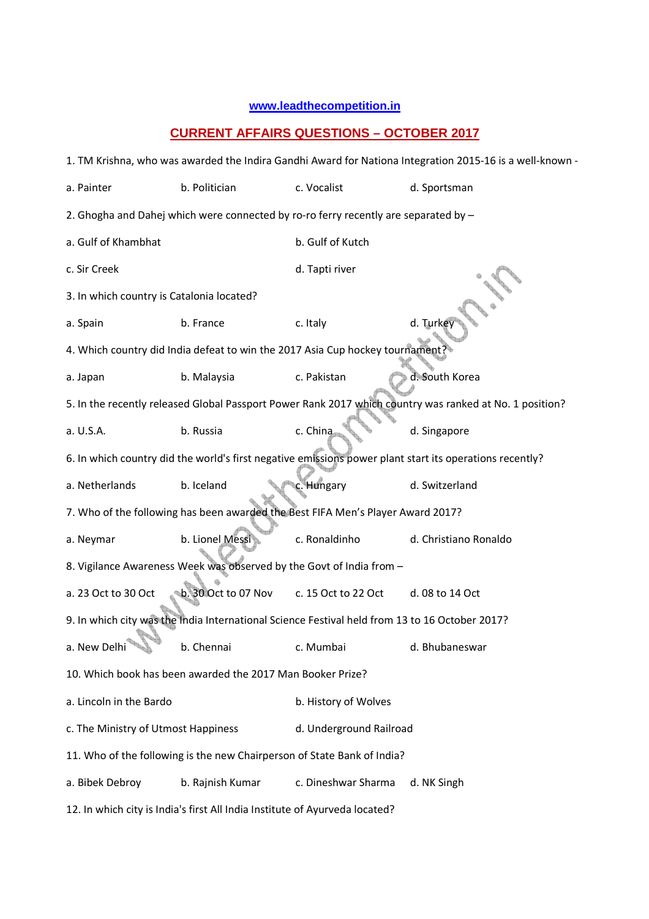## **www.leadthecompetition.in**

## **CURRENT AFFAIRS QUESTIONS – OCTOBER 2017**

| 1. TM Krishna, who was awarded the Indira Gandhi Award for Nationa Integration 2015-16 is a well-known - |                     |                         |                       |  |  |  |  |
|----------------------------------------------------------------------------------------------------------|---------------------|-------------------------|-----------------------|--|--|--|--|
| a. Painter                                                                                               | b. Politician       | c. Vocalist             | d. Sportsman          |  |  |  |  |
| 2. Ghogha and Dahej which were connected by ro-ro ferry recently are separated by -                      |                     |                         |                       |  |  |  |  |
| a. Gulf of Khambhat                                                                                      |                     | b. Gulf of Kutch        |                       |  |  |  |  |
| c. Sir Creek                                                                                             |                     | d. Tapti river          |                       |  |  |  |  |
| 3. In which country is Catalonia located?                                                                |                     |                         |                       |  |  |  |  |
| a. Spain                                                                                                 | b. France           | c. Italy                | d. Turkey             |  |  |  |  |
| 4. Which country did India defeat to win the 2017 Asia Cup hockey tournament?                            |                     |                         |                       |  |  |  |  |
| a. Japan                                                                                                 | b. Malaysia         | c. Pakistan             | d. South Korea        |  |  |  |  |
| 5. In the recently released Global Passport Power Rank 2017 which country was ranked at No. 1 position?  |                     |                         |                       |  |  |  |  |
| a. U.S.A.                                                                                                | b. Russia           | c. China                | d. Singapore          |  |  |  |  |
| 6. In which country did the world's first negative emissions power plant start its operations recently?  |                     |                         |                       |  |  |  |  |
| a. Netherlands                                                                                           | b. Iceland          | c. Hungary              | d. Switzerland        |  |  |  |  |
| 7. Who of the following has been awarded the Best FIFA Men's Player Award 2017?                          |                     |                         |                       |  |  |  |  |
| a. Neymar                                                                                                | b. Lionel Messi     | c. Ronaldinho           | d. Christiano Ronaldo |  |  |  |  |
| 8. Vigilance Awareness Week was observed by the Govt of India from -                                     |                     |                         |                       |  |  |  |  |
| a. 23 Oct to 30 Oct                                                                                      | b. 30 Oct to 07 Nov | c. 15 Oct to 22 Oct     | d. 08 to 14 Oct       |  |  |  |  |
| 9. In which city was the India International Science Festival held from 13 to 16 October 2017?           |                     |                         |                       |  |  |  |  |
| a. New Delhi                                                                                             | b. Chennai          | c. Mumbai               | d. Bhubaneswar        |  |  |  |  |
| 10. Which book has been awarded the 2017 Man Booker Prize?                                               |                     |                         |                       |  |  |  |  |
| a. Lincoln in the Bardo                                                                                  |                     | b. History of Wolves    |                       |  |  |  |  |
| c. The Ministry of Utmost Happiness                                                                      |                     | d. Underground Railroad |                       |  |  |  |  |
| 11. Who of the following is the new Chairperson of State Bank of India?                                  |                     |                         |                       |  |  |  |  |
| a. Bibek Debroy                                                                                          | b. Rajnish Kumar    | c. Dineshwar Sharma     | d. NK Singh           |  |  |  |  |
| 12. In which city is India's first All India Institute of Ayurveda located?                              |                     |                         |                       |  |  |  |  |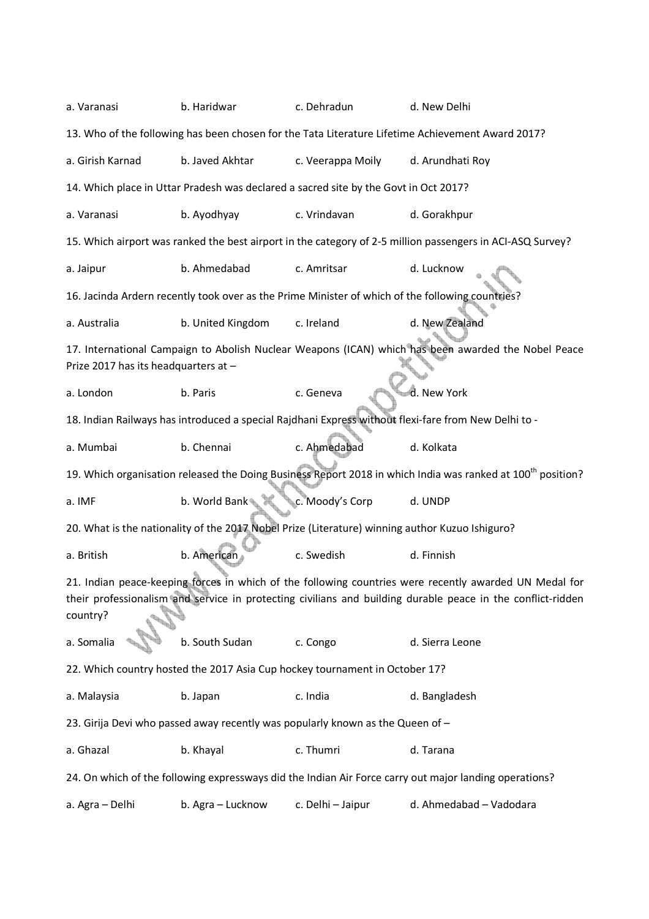| a. Varanasi                                                                                                                                                                                                                       | b. Haridwar                                                                 | c. Dehradun                                                                                     | d. New Delhi                                                                                                            |  |  |  |  |
|-----------------------------------------------------------------------------------------------------------------------------------------------------------------------------------------------------------------------------------|-----------------------------------------------------------------------------|-------------------------------------------------------------------------------------------------|-------------------------------------------------------------------------------------------------------------------------|--|--|--|--|
|                                                                                                                                                                                                                                   |                                                                             |                                                                                                 | 13. Who of the following has been chosen for the Tata Literature Lifetime Achievement Award 2017?                       |  |  |  |  |
| a. Girish Karnad                                                                                                                                                                                                                  | b. Javed Akhtar                                                             | c. Veerappa Moily                                                                               | d. Arundhati Roy                                                                                                        |  |  |  |  |
| 14. Which place in Uttar Pradesh was declared a sacred site by the Govt in Oct 2017?                                                                                                                                              |                                                                             |                                                                                                 |                                                                                                                         |  |  |  |  |
| a. Varanasi                                                                                                                                                                                                                       | b. Ayodhyay                                                                 | c. Vrindavan                                                                                    | d. Gorakhpur                                                                                                            |  |  |  |  |
| 15. Which airport was ranked the best airport in the category of 2-5 million passengers in ACI-ASQ Survey?                                                                                                                        |                                                                             |                                                                                                 |                                                                                                                         |  |  |  |  |
| a. Jaipur                                                                                                                                                                                                                         | b. Ahmedabad                                                                | c. Amritsar                                                                                     | d. Lucknow                                                                                                              |  |  |  |  |
|                                                                                                                                                                                                                                   |                                                                             |                                                                                                 | 16. Jacinda Ardern recently took over as the Prime Minister of which of the following countries?                        |  |  |  |  |
| a. Australia                                                                                                                                                                                                                      | b. United Kingdom                                                           | c. Ireland                                                                                      | d. New Zealand                                                                                                          |  |  |  |  |
| Prize 2017 has its headquarters at -                                                                                                                                                                                              |                                                                             |                                                                                                 | 17. International Campaign to Abolish Nuclear Weapons (ICAN) which has been awarded the Nobel Peace                     |  |  |  |  |
| a. London                                                                                                                                                                                                                         | b. Paris                                                                    | c. Geneva                                                                                       | d. New York                                                                                                             |  |  |  |  |
|                                                                                                                                                                                                                                   |                                                                             |                                                                                                 | 18. Indian Railways has introduced a special Rajdhani Express without flexi-fare from New Delhi to -                    |  |  |  |  |
| a. Mumbai                                                                                                                                                                                                                         | b. Chennai                                                                  | c. Ahmedabad                                                                                    | d. Kolkata                                                                                                              |  |  |  |  |
|                                                                                                                                                                                                                                   |                                                                             |                                                                                                 | 19. Which organisation released the Doing Business Report 2018 in which India was ranked at 100 <sup>th</sup> position? |  |  |  |  |
| a. IMF                                                                                                                                                                                                                            | b. World Bank <sup>®</sup>                                                  | c. Moody's Corp                                                                                 | d. UNDP                                                                                                                 |  |  |  |  |
|                                                                                                                                                                                                                                   |                                                                             | 20. What is the nationality of the 2017 Nobel Prize (Literature) winning author Kuzuo Ishiguro? |                                                                                                                         |  |  |  |  |
| a. British                                                                                                                                                                                                                        | b. American                                                                 | c. Swedish                                                                                      | d. Finnish                                                                                                              |  |  |  |  |
| 21. Indian peace-keeping forces in which of the following countries were recently awarded UN Medal for<br>their professionalism and service in protecting civilians and building durable peace in the conflict-ridden<br>country? |                                                                             |                                                                                                 |                                                                                                                         |  |  |  |  |
| a. Somalia                                                                                                                                                                                                                        | b. South Sudan                                                              | c. Congo                                                                                        | d. Sierra Leone                                                                                                         |  |  |  |  |
|                                                                                                                                                                                                                                   | 22. Which country hosted the 2017 Asia Cup hockey tournament in October 17? |                                                                                                 |                                                                                                                         |  |  |  |  |
| a. Malaysia                                                                                                                                                                                                                       | b. Japan                                                                    | c. India                                                                                        | d. Bangladesh                                                                                                           |  |  |  |  |
| 23. Girija Devi who passed away recently was popularly known as the Queen of -                                                                                                                                                    |                                                                             |                                                                                                 |                                                                                                                         |  |  |  |  |
| a. Ghazal                                                                                                                                                                                                                         | b. Khayal                                                                   | c. Thumri                                                                                       | d. Tarana                                                                                                               |  |  |  |  |
| 24. On which of the following expressways did the Indian Air Force carry out major landing operations?                                                                                                                            |                                                                             |                                                                                                 |                                                                                                                         |  |  |  |  |
| a. Agra - Delhi                                                                                                                                                                                                                   | b. Agra - Lucknow                                                           | c. Delhi - Jaipur                                                                               | d. Ahmedabad - Vadodara                                                                                                 |  |  |  |  |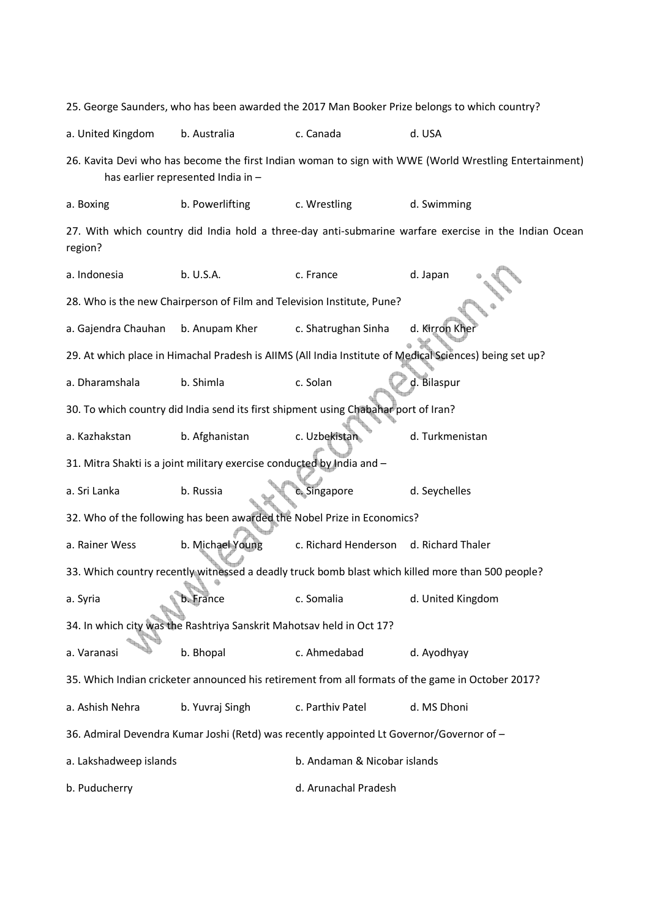25. George Saunders, who has been awarded the 2017 Man Booker Prize belongs to which country? a. United Kingdom b. Australia c. Canada d. USA 26. Kavita Devi who has become the first Indian woman to sign with WWE (World Wrestling Entertainment) has earlier represented India in – a. Boxing b. Powerlifting c. Wrestling d. Swimming 27. With which country did India hold a three-day anti-submarine warfare exercise in the Indian Ocean region? a. Indonesia b. U.S.A. c. France d. Japan 28. Who is the new Chairperson of Film and Television Institute, Pune? a. Gajendra Chauhan b. Anupam Kher c. Shatrughan Sinha d. Kirron Khe 29. At which place in Himachal Pradesh is AIIMS (All India Institute of Medical Sciences) being set up? a. Dharamshala b. Shimla c. Solan d. Bilaspur 30. To which country did India send its first shipment using Chabahar port of Iran? a. Kazhakstan b. Afghanistan c. Uzbekistan d. Turkmenistan 31. Mitra Shakti is a joint military exercise conducted by India and – a. Sri Lanka b. Russia c. Singapore d. Seychelles 32. Who of the following has been awarded the Nobel Prize in Economics? a. Rainer Wess b. Michael Young c. Richard Henderson d. Richard Thaler 33. Which country recently witnessed a deadly truck bomb blast which killed more than 500 people? a. Syria b. France c. Somalia d. United Kingdom 34. In which city was the Rashtriya Sanskrit Mahotsav held in Oct 17? a. Varanasi b. Bhopal c. Ahmedabad d. Ayodhyay 35. Which Indian cricketer announced his retirement from all formats of the game in October 2017? a. Ashish Nehra b. Yuvraj Singh c. Parthiv Patel d. MS Dhoni 36. Admiral Devendra Kumar Joshi (Retd) was recently appointed Lt Governor/Governor of – a. Lakshadweep islands b. Andaman & Nicobar islands b. Puducherry and the control of the control of the control of the control of the control of the control of the control of the control of the control of the control of the control of the control of the control of the contr